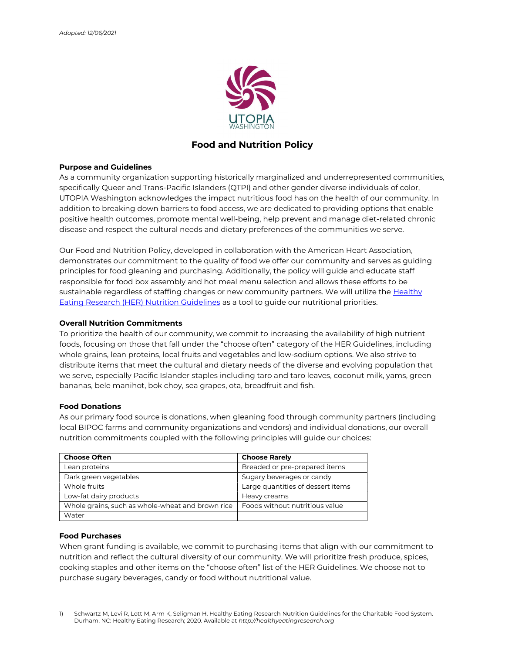

# Food and Nutrition Policy

## Purpose and Guidelines

As a community organization supporting historically marginalized and underrepresented communities, specifically Queer and Trans-Pacific Islanders (QTPI) and other gender diverse individuals of color, UTOPIA Washington acknowledges the impact nutritious food has on the health of our community. In addition to breaking down barriers to food access, we are dedicated to providing options that enable positive health outcomes, promote mental well-being, help prevent and manage diet-related chronic disease and respect the cultural needs and dietary preferences of the communities we serve.

Our Food and Nutrition Policy, developed in collaboration with the American Heart Association, demonstrates our commitment to the quality of food we offer our community and serves as guiding principles for food gleaning and purchasing. Additionally, the policy will guide and educate staff responsible for food box assembly and hot meal menu selection and allows these efforts to be sustainable regardless of staffing changes or new community partners. We will utilize the Healthy Eating Research (HER) Nutrition Guidelines as a tool to guide our nutritional priorities.

# Overall Nutrition Commitments

To prioritize the health of our community, we commit to increasing the availability of high nutrient foods, focusing on those that fall under the "choose often" category of the HER Guidelines, including whole grains, lean proteins, local fruits and vegetables and low-sodium options. We also strive to distribute items that meet the cultural and dietary needs of the diverse and evolving population that we serve, especially Pacific Islander staples including taro and taro leaves, coconut milk, yams, green bananas, bele manihot, bok choy, sea grapes, ota, breadfruit and fish.

#### Food Donations

As our primary food source is donations, when gleaning food through community partners (including local BIPOC farms and community organizations and vendors) and individual donations, our overall nutrition commitments coupled with the following principles will guide our choices:

| <b>Choose Often</b>                              | <b>Choose Rarely</b>              |
|--------------------------------------------------|-----------------------------------|
| Lean proteins                                    | Breaded or pre-prepared items     |
| Dark green vegetables                            | Sugary beverages or candy         |
| Whole fruits                                     | Large quantities of dessert items |
| Low-fat dairy products                           | Heavy creams                      |
| Whole grains, such as whole-wheat and brown rice | Foods without nutritious value    |
| Water                                            |                                   |

#### Food Purchases

When grant funding is available, we commit to purchasing items that align with our commitment to nutrition and reflect the cultural diversity of our community. We will prioritize fresh produce, spices, cooking staples and other items on the "choose often" list of the HER Guidelines. We choose not to purchase sugary beverages, candy or food without nutritional value.